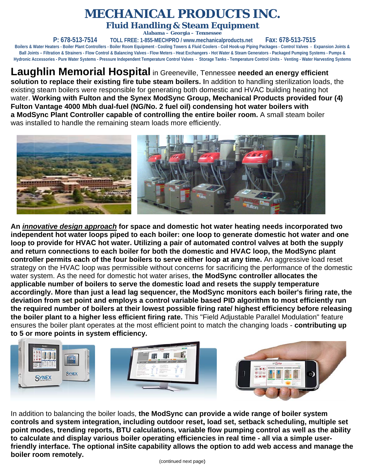## **MECHANICAL PRODUCTS INC.**

**Fluid Handling & Steam Equipment** Alabama - Georgia - Tennessee

P: 678-513-7514 TOLL FREE: 1-855-MECHPRO / www.mechanicalproducts.net Fax: 678-513-7515 Boilers & Water Heaters - Boiler Plant Controllers - Boiler Room Equipment - Cooling Towers & Fluid Coolers - Coil Hook-up Piping Packages - Control Valves - Expansion Joints & Ball Joints - Filtration & Strainers - Flow Control & Balancing Valves - Flow Meters - Heat Exchangers - Hot Water & Steam Generators - Packaged Pumping Systems - Pumps & Hydronic Accessories - Pure Water Systems - Pressure Independent Temperature Control Valves - Storage Tanks - Temperature Control Units - Venting - Water Harvesting Systems

**Laughlin Memorial Hospital** in Greeneville, Tennessee needed an energy efficient solution to replace their existing fire tube steam boilers. In addition to handling sterilization loads, the existing steam boilers were responsible for generating both domestic and HVAC building heating hot water. Working with Fulton and the Synex ModSync Group, Mechanical Products provided four (4) Fulton Vantage 4000 Mbh dual-fuel (NG/No. 2 fuel oil) condensing hot water boilers with a ModSync Plant Controller capable of controlling the entire boiler room. A small steam boiler was installed to handle the remaining steam loads more efficiently.



An *innovative design approach* for space and domestic hot water heating needs incorporated two independent hot water loops piped to each boiler: one loop to generate domestic hot water and one loop to provide for HVAC hot water. Utilizing a pair of automated control valves at both the supply and return connections to each boiler for both the domestic and HVAC loop, the ModSync plant controller permits each of the four boilers to serve either loop at any time. An aggressive load reset strategy on the HVAC loop was permissible without concerns for sacrificing the performance of the domestic water system. As the need for domestic hot water arises, the ModSync controller allocates the applicable number of boilers to serve the domestic load and resets the supply temperature accordingly. More than just a lead lag sequencer, the ModSync monitors each boiler's firing rate, the deviation from set point and employs a control variable based PID algorithm to most efficiently run the required number of boilers at their lowest possible firing rate/ highest efficiency before releasing the boiler plant to a higher less efficient firing rate. This "Field Adjustable Parallel Modulation" feature ensures the boiler plant operates at the most efficient point to match the changing loads - contributing up to 5 or more points in system efficiency.



In addition to balancing the boiler loads, the ModSync can provide a wide range of boiler system controls and system integration, including outdoor reset, load set, setback scheduling, multiple set point modes, trending reports, BTU calculations, variable flow pumping control as well as the ability to calculate and display various boiler operating efficiencies in real time - all via a simple userfriendly interface. The optional inSite capability allows the option to add web access and manage the boiler room remotely.